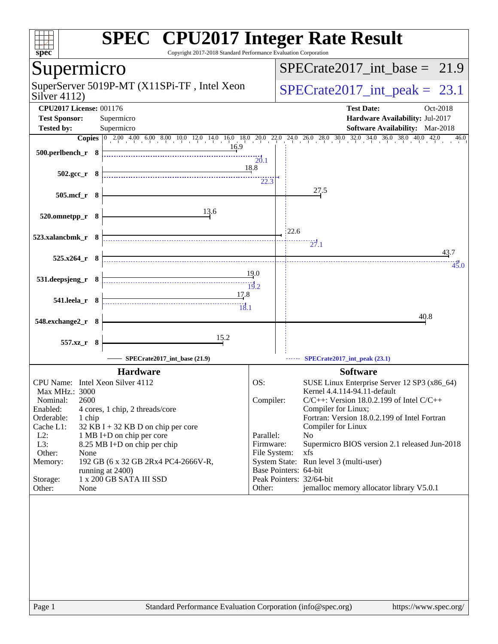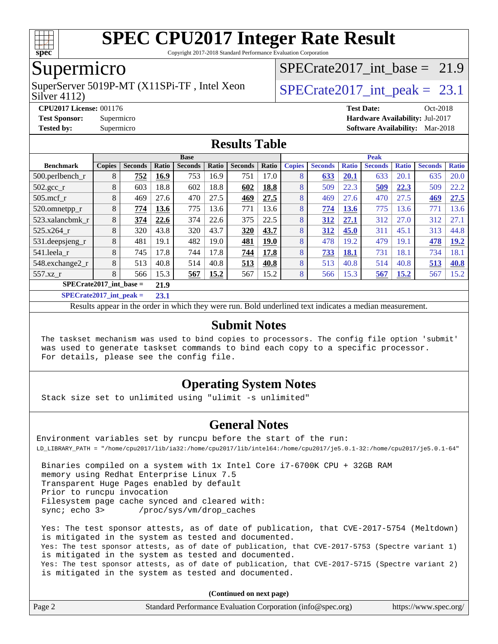

Copyright 2017-2018 Standard Performance Evaluation Corporation

### Supermicro

Silver 4112) SuperServer 5019P-MT (X11SPi-TF, Intel Xeon  $SPIETR = SPIETR = 23.1$ 

SPECrate2017 int\_base =  $21.9$ 

**[CPU2017 License:](http://www.spec.org/auto/cpu2017/Docs/result-fields.html#CPU2017License)** 001176 **[Test Date:](http://www.spec.org/auto/cpu2017/Docs/result-fields.html#TestDate)** Oct-2018 **[Test Sponsor:](http://www.spec.org/auto/cpu2017/Docs/result-fields.html#TestSponsor)** Supermicro **[Hardware Availability:](http://www.spec.org/auto/cpu2017/Docs/result-fields.html#HardwareAvailability)** Jul-2017 **[Tested by:](http://www.spec.org/auto/cpu2017/Docs/result-fields.html#Testedby)** Supermicro **[Software Availability:](http://www.spec.org/auto/cpu2017/Docs/result-fields.html#SoftwareAvailability)** Mar-2018

### **[Results Table](http://www.spec.org/auto/cpu2017/Docs/result-fields.html#ResultsTable)**

|                               | <b>Base</b>   |                |       |                |       |                |             |               | <b>Peak</b>    |              |                |              |                |              |  |
|-------------------------------|---------------|----------------|-------|----------------|-------|----------------|-------------|---------------|----------------|--------------|----------------|--------------|----------------|--------------|--|
| <b>Benchmark</b>              | <b>Copies</b> | <b>Seconds</b> | Ratio | <b>Seconds</b> | Ratio | <b>Seconds</b> | Ratio       | <b>Copies</b> | <b>Seconds</b> | <b>Ratio</b> | <b>Seconds</b> | <b>Ratio</b> | <b>Seconds</b> | <b>Ratio</b> |  |
| $500$ .perlbench r            | 8             | 752            | 16.9  | 753            | 16.9  | 751            | 17.0        | 8             | 633            | 20.1         | 633            | 20.1         | 635            | 20.0         |  |
| $502.\text{gcc\_r}$           | 8             | 603            | 18.8  | 602            | 18.8  | 602            | 18.8        | 8             | 509            | 22.3         | 509            | 22.3         | 509            | 22.2         |  |
| $505$ .mcf r                  | 8             | 469            | 27.6  | 470            | 27.5  | 469            | 27.5        | 8             | 469            | 27.6         | 470            | 27.5         | 469            | 27.5         |  |
| 520.omnetpp_r                 | 8             | 774            | 13.6  | 775            | 13.6  | 771            | 13.6        | 8             | 774            | 13.6         | 775            | 13.6         | 771            | 13.6         |  |
| 523.xalanchmk r               | 8             | 374            | 22.6  | 374            | 22.6  | 375            | 22.5        | 8             | 312            | 27.1         | 312            | 27.0         | 312            | 27.1         |  |
| 525.x264 r                    | 8             | 320            | 43.8  | 320            | 43.7  | 320            | 43.7        | 8             | 312            | 45.0         | 311            | 45.1         | 313            | 44.8         |  |
| $531.$ deepsjeng $_r$         | 8             | 481            | 19.1  | 482            | 19.0  | 481            | <b>19.0</b> | 8             | 478            | 19.2         | 479            | 19.1         | 478            | <b>19.2</b>  |  |
| 541.leela r                   | 8             | 745            | 17.8  | 744            | 17.8  | 744            | 17.8        | 8             | 733            | 18.1         | 731            | 18.1         | 734            | 18.1         |  |
| 548.exchange2_r               | 8             | 513            | 40.8  | 514            | 40.8  | 513            | 40.8        | 8             | 513            | 40.8         | 514            | 40.8         | 513            | 40.8         |  |
| 557.xz r                      | 8             | 566            | 15.3  | 567            | 15.2  | 567            | 15.2        | 8             | 566            | 15.3         | 567            | <u>15.2</u>  | 567            | 15.2         |  |
| $SPECrate2017$ int base =     |               |                | 21.9  |                |       |                |             |               |                |              |                |              |                |              |  |
| $C1$ $C2$ $A3$ $A4$ $A5$ $A6$ |               |                | -- -  |                |       |                |             |               |                |              |                |              |                |              |  |

**[SPECrate2017\\_int\\_peak =](http://www.spec.org/auto/cpu2017/Docs/result-fields.html#SPECrate2017intpeak) 23.1**

Results appear in the [order in which they were run](http://www.spec.org/auto/cpu2017/Docs/result-fields.html#RunOrder). Bold underlined text [indicates a median measurement](http://www.spec.org/auto/cpu2017/Docs/result-fields.html#Median).

### **[Submit Notes](http://www.spec.org/auto/cpu2017/Docs/result-fields.html#SubmitNotes)**

 The taskset mechanism was used to bind copies to processors. The config file option 'submit' was used to generate taskset commands to bind each copy to a specific processor. For details, please see the config file.

### **[Operating System Notes](http://www.spec.org/auto/cpu2017/Docs/result-fields.html#OperatingSystemNotes)**

Stack size set to unlimited using "ulimit -s unlimited"

### **[General Notes](http://www.spec.org/auto/cpu2017/Docs/result-fields.html#GeneralNotes)**

Environment variables set by runcpu before the start of the run: LD\_LIBRARY\_PATH = "/home/cpu2017/lib/ia32:/home/cpu2017/lib/intel64:/home/cpu2017/je5.0.1-32:/home/cpu2017/je5.0.1-64"

 Binaries compiled on a system with 1x Intel Core i7-6700K CPU + 32GB RAM memory using Redhat Enterprise Linux 7.5 Transparent Huge Pages enabled by default Prior to runcpu invocation Filesystem page cache synced and cleared with: sync; echo 3> /proc/sys/vm/drop\_caches

 Yes: The test sponsor attests, as of date of publication, that CVE-2017-5754 (Meltdown) is mitigated in the system as tested and documented. Yes: The test sponsor attests, as of date of publication, that CVE-2017-5753 (Spectre variant 1) is mitigated in the system as tested and documented. Yes: The test sponsor attests, as of date of publication, that CVE-2017-5715 (Spectre variant 2) is mitigated in the system as tested and documented.

**(Continued on next page)**

| Page 2<br>Standard Performance Evaluation Corporation (info@spec.org)<br>https://www.spec.org/ |
|------------------------------------------------------------------------------------------------|
|------------------------------------------------------------------------------------------------|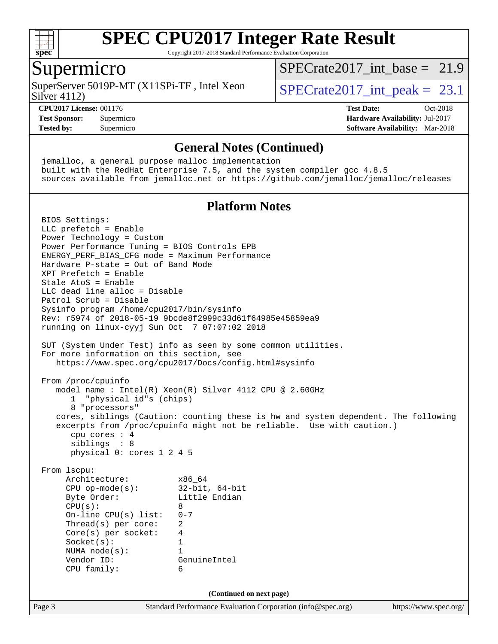

Copyright 2017-2018 Standard Performance Evaluation Corporation

### Supermicro

Silver 4112) SuperServer 5019P-MT (X11SPi-TF, Intel Xeon  $SPIETCrate2017$  int peak = 23.1

SPECrate2017 int\_base =  $21.9$ 

**[Tested by:](http://www.spec.org/auto/cpu2017/Docs/result-fields.html#Testedby)** Supermicro **[Software Availability:](http://www.spec.org/auto/cpu2017/Docs/result-fields.html#SoftwareAvailability)** Mar-2018

**[CPU2017 License:](http://www.spec.org/auto/cpu2017/Docs/result-fields.html#CPU2017License)** 001176 **[Test Date:](http://www.spec.org/auto/cpu2017/Docs/result-fields.html#TestDate)** Oct-2018 **[Test Sponsor:](http://www.spec.org/auto/cpu2017/Docs/result-fields.html#TestSponsor)** Supermicro **[Hardware Availability:](http://www.spec.org/auto/cpu2017/Docs/result-fields.html#HardwareAvailability)** Jul-2017

#### **[General Notes \(Continued\)](http://www.spec.org/auto/cpu2017/Docs/result-fields.html#GeneralNotes)**

Page 3 Standard Performance Evaluation Corporation [\(info@spec.org\)](mailto:info@spec.org) <https://www.spec.org/> jemalloc, a general purpose malloc implementation built with the RedHat Enterprise 7.5, and the system compiler gcc 4.8.5 sources available from jemalloc.net or <https://github.com/jemalloc/jemalloc/releases> **[Platform Notes](http://www.spec.org/auto/cpu2017/Docs/result-fields.html#PlatformNotes)** BIOS Settings: LLC prefetch = Enable Power Technology = Custom Power Performance Tuning = BIOS Controls EPB ENERGY\_PERF\_BIAS\_CFG mode = Maximum Performance Hardware P-state = Out of Band Mode XPT Prefetch = Enable Stale AtoS = Enable LLC dead line alloc = Disable Patrol Scrub = Disable Sysinfo program /home/cpu2017/bin/sysinfo Rev: r5974 of 2018-05-19 9bcde8f2999c33d61f64985e45859ea9 running on linux-cyyj Sun Oct 7 07:07:02 2018 SUT (System Under Test) info as seen by some common utilities. For more information on this section, see <https://www.spec.org/cpu2017/Docs/config.html#sysinfo> From /proc/cpuinfo model name : Intel(R) Xeon(R) Silver 4112 CPU @ 2.60GHz 1 "physical id"s (chips) 8 "processors" cores, siblings (Caution: counting these is hw and system dependent. The following excerpts from /proc/cpuinfo might not be reliable. Use with caution.) cpu cores : 4 siblings : 8 physical 0: cores 1 2 4 5 From lscpu: Architecture: x86\_64 CPU op-mode(s): 32-bit, 64-bit Byte Order: Little Endian  $CPU(s):$  8 On-line CPU(s) list: 0-7 Thread(s) per core: 2 Core(s) per socket: 4 Socket(s): 1 NUMA node(s): 1 Vendor ID: GenuineIntel CPU family: 6 **(Continued on next page)**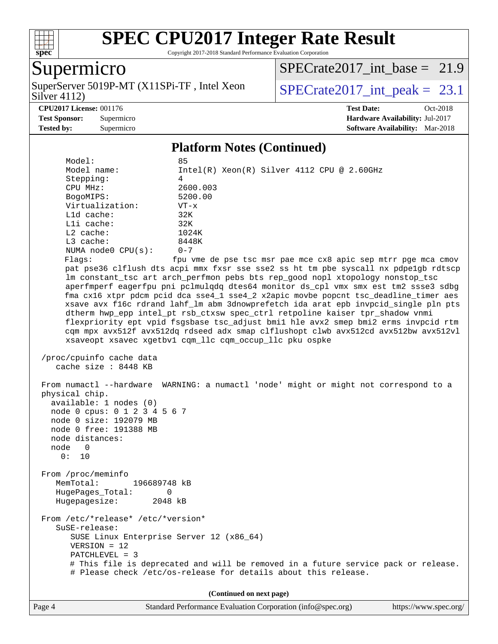

Copyright 2017-2018 Standard Performance Evaluation Corporation

### Supermicro

Silver 4112) SuperServer 5019P-MT (X11SPi-TF, Intel Xeon  $SPIETCrate2017$  int peak = 23.1

SPECrate2017 int\_base =  $21.9$ 

**[Tested by:](http://www.spec.org/auto/cpu2017/Docs/result-fields.html#Testedby)** Supermicro **[Software Availability:](http://www.spec.org/auto/cpu2017/Docs/result-fields.html#SoftwareAvailability)** Mar-2018

**[CPU2017 License:](http://www.spec.org/auto/cpu2017/Docs/result-fields.html#CPU2017License)** 001176 **[Test Date:](http://www.spec.org/auto/cpu2017/Docs/result-fields.html#TestDate)** Oct-2018 **[Test Sponsor:](http://www.spec.org/auto/cpu2017/Docs/result-fields.html#TestSponsor)** Supermicro **[Hardware Availability:](http://www.spec.org/auto/cpu2017/Docs/result-fields.html#HardwareAvailability)** Jul-2017

#### **[Platform Notes \(Continued\)](http://www.spec.org/auto/cpu2017/Docs/result-fields.html#PlatformNotes)**

 Model: 85 Model name: Intel(R) Xeon(R) Silver 4112 CPU @ 2.60GHz Stepping: 4 CPU MHz: 2600.003 BogoMIPS: 5200.00 Virtualization: VT-x L1d cache: 32K L1i cache: 32K L2 cache: 1024K L3 cache: 8448K NUMA node0 CPU(s): 0-7 Flags: fpu vme de pse tsc msr pae mce cx8 apic sep mtrr pge mca cmov pat pse36 clflush dts acpi mmx fxsr sse sse2 ss ht tm pbe syscall nx pdpe1gb rdtscp lm constant\_tsc art arch\_perfmon pebs bts rep\_good nopl xtopology nonstop\_tsc aperfmperf eagerfpu pni pclmulqdq dtes64 monitor ds\_cpl vmx smx est tm2 ssse3 sdbg fma cx16 xtpr pdcm pcid dca sse4\_1 sse4\_2 x2apic movbe popcnt tsc\_deadline\_timer aes xsave avx f16c rdrand lahf\_lm abm 3dnowprefetch ida arat epb invpcid\_single pln pts dtherm hwp\_epp intel\_pt rsb\_ctxsw spec\_ctrl retpoline kaiser tpr\_shadow vnmi flexpriority ept vpid fsgsbase tsc\_adjust bmi1 hle avx2 smep bmi2 erms invpcid rtm cqm mpx avx512f avx512dq rdseed adx smap clflushopt clwb avx512cd avx512bw avx512vl xsaveopt xsavec xgetbv1 cqm\_llc cqm\_occup\_llc pku ospke /proc/cpuinfo cache data cache size : 8448 KB From numactl --hardware WARNING: a numactl 'node' might or might not correspond to a physical chip. available: 1 nodes (0) node 0 cpus: 0 1 2 3 4 5 6 7 node 0 size: 192079 MB node 0 free: 191388 MB node distances: node 0 0: 10 From /proc/meminfo MemTotal: 196689748 kB HugePages\_Total: 0 Hugepagesize: 2048 kB From /etc/\*release\* /etc/\*version\* SuSE-release: SUSE Linux Enterprise Server 12 (x86\_64) VERSION = 12 PATCHLEVEL = 3 # This file is deprecated and will be removed in a future service pack or release. # Please check /etc/os-release for details about this release. **(Continued on next page)**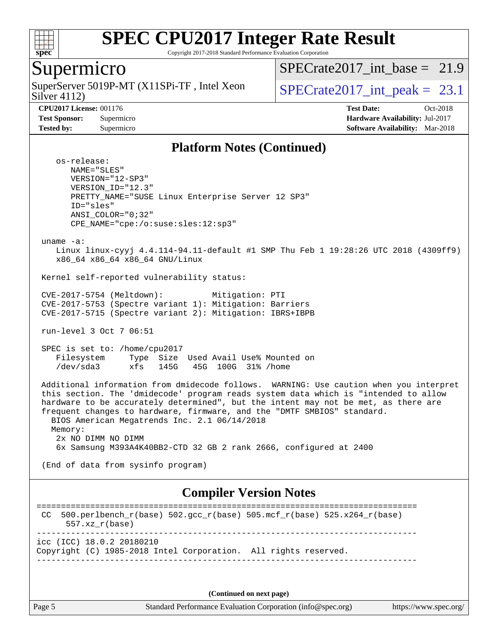

Copyright 2017-2018 Standard Performance Evaluation Corporation

### Supermicro

Silver 4112) SuperServer 5019P-MT (X11SPi-TF, Intel Xeon  $SPIETCrate2017$  int peak = 23.1

SPECrate2017 int\_base =  $21.9$ 

**[CPU2017 License:](http://www.spec.org/auto/cpu2017/Docs/result-fields.html#CPU2017License)** 001176 **[Test Date:](http://www.spec.org/auto/cpu2017/Docs/result-fields.html#TestDate)** Oct-2018 **[Test Sponsor:](http://www.spec.org/auto/cpu2017/Docs/result-fields.html#TestSponsor)** Supermicro **[Hardware Availability:](http://www.spec.org/auto/cpu2017/Docs/result-fields.html#HardwareAvailability)** Jul-2017 **[Tested by:](http://www.spec.org/auto/cpu2017/Docs/result-fields.html#Testedby)** Supermicro **[Software Availability:](http://www.spec.org/auto/cpu2017/Docs/result-fields.html#SoftwareAvailability)** Mar-2018

#### **[Platform Notes \(Continued\)](http://www.spec.org/auto/cpu2017/Docs/result-fields.html#PlatformNotes)**

 os-release: NAME="SLES" VERSION="12-SP3" VERSION\_ID="12.3" PRETTY\_NAME="SUSE Linux Enterprise Server 12 SP3" ID="sles" ANSI\_COLOR="0;32" CPE\_NAME="cpe:/o:suse:sles:12:sp3"

uname -a:

 Linux linux-cyyj 4.4.114-94.11-default #1 SMP Thu Feb 1 19:28:26 UTC 2018 (4309ff9) x86\_64 x86\_64 x86\_64 GNU/Linux

Kernel self-reported vulnerability status:

 CVE-2017-5754 (Meltdown): Mitigation: PTI CVE-2017-5753 (Spectre variant 1): Mitigation: Barriers CVE-2017-5715 (Spectre variant 2): Mitigation: IBRS+IBPB

run-level 3 Oct 7 06:51

 SPEC is set to: /home/cpu2017 Filesystem Type Size Used Avail Use% Mounted on /dev/sda3 xfs 145G 45G 100G 31% /home

 Additional information from dmidecode follows. WARNING: Use caution when you interpret this section. The 'dmidecode' program reads system data which is "intended to allow hardware to be accurately determined", but the intent may not be met, as there are frequent changes to hardware, firmware, and the "DMTF SMBIOS" standard. BIOS American Megatrends Inc. 2.1 06/14/2018 Memory: 2x NO DIMM NO DIMM 6x Samsung M393A4K40BB2-CTD 32 GB 2 rank 2666, configured at 2400

(End of data from sysinfo program)

### **[Compiler Version Notes](http://www.spec.org/auto/cpu2017/Docs/result-fields.html#CompilerVersionNotes)**

```
==============================================================================
CC 500.perlbench r(base) 502.gcc r(base) 505.mcf r(base) 525.x264 r(base) 557.xz_r(base)
------------------------------------------------------------------------------
icc (ICC) 18.0.2 20180210
Copyright (C) 1985-2018 Intel Corporation. All rights reserved.
------------------------------------------------------------------------------
```
**(Continued on next page)**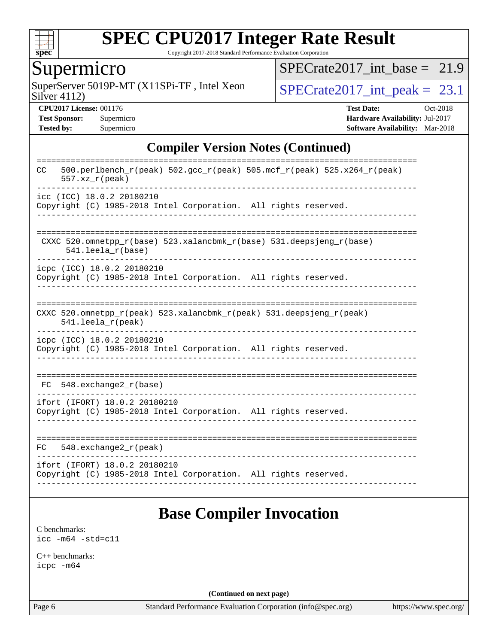

Copyright 2017-2018 Standard Performance Evaluation Corporation

### Supermicro

Silver 4112) SuperServer 5019P-MT (X11SPi-TF, Intel Xeon  $SPIECrate2017\_int\_peak = 23.1$ 

 $SPECTate2017\_int\_base = 21.9$ 

**[CPU2017 License:](http://www.spec.org/auto/cpu2017/Docs/result-fields.html#CPU2017License)** 001176 **[Test Date:](http://www.spec.org/auto/cpu2017/Docs/result-fields.html#TestDate)** Oct-2018 **[Test Sponsor:](http://www.spec.org/auto/cpu2017/Docs/result-fields.html#TestSponsor)** Supermicro **[Hardware Availability:](http://www.spec.org/auto/cpu2017/Docs/result-fields.html#HardwareAvailability)** Jul-2017 **[Tested by:](http://www.spec.org/auto/cpu2017/Docs/result-fields.html#Testedby)** Supermicro **[Software Availability:](http://www.spec.org/auto/cpu2017/Docs/result-fields.html#SoftwareAvailability)** Mar-2018

### **[Compiler Version Notes \(Continued\)](http://www.spec.org/auto/cpu2017/Docs/result-fields.html#CompilerVersionNotes)**

| $500. perlbench_r (peak) 502. gcc_r (peak) 505. mcf_r (peak) 525. x264_r (peak)$<br>CC<br>$557. xz_r (peak)$ |
|--------------------------------------------------------------------------------------------------------------|
| icc (ICC) 18.0.2 20180210<br>Copyright (C) 1985-2018 Intel Corporation. All rights reserved.                 |
|                                                                                                              |
| CXXC 520.omnetpp_r(base) 523.xalancbmk_r(base) 531.deepsjeng_r(base)<br>$541.$ leela $r(base)$               |
| icpc (ICC) 18.0.2 20180210                                                                                   |
| Copyright (C) 1985-2018 Intel Corporation. All rights reserved.                                              |
|                                                                                                              |
|                                                                                                              |
| CXXC 520.omnetpp_r(peak) 523.xalancbmk_r(peak) 531.deepsjeng_r(peak)<br>$541.$ leela_r(peak)                 |
| icpc (ICC) 18.0.2 20180210                                                                                   |
| Copyright (C) 1985-2018 Intel Corporation. All rights reserved.                                              |
|                                                                                                              |
|                                                                                                              |
| 548.exchange2_r(base)<br>FC.                                                                                 |
| ifort (IFORT) 18.0.2 20180210                                                                                |
| Copyright (C) 1985-2018 Intel Corporation. All rights reserved.                                              |
|                                                                                                              |
| $548$ . exchange $2\_r$ (peak)<br>FC.                                                                        |
| ifort (IFORT) 18.0.2 20180210                                                                                |
| Copyright (C) 1985-2018 Intel Corporation. All rights reserved.                                              |
|                                                                                                              |

## **[Base Compiler Invocation](http://www.spec.org/auto/cpu2017/Docs/result-fields.html#BaseCompilerInvocation)**

[C benchmarks](http://www.spec.org/auto/cpu2017/Docs/result-fields.html#Cbenchmarks): [icc -m64 -std=c11](http://www.spec.org/cpu2017/results/res2018q4/cpu2017-20181015-09210.flags.html#user_CCbase_intel_icc_64bit_c11_33ee0cdaae7deeeab2a9725423ba97205ce30f63b9926c2519791662299b76a0318f32ddfffdc46587804de3178b4f9328c46fa7c2b0cd779d7a61945c91cd35)

[C++ benchmarks:](http://www.spec.org/auto/cpu2017/Docs/result-fields.html#CXXbenchmarks) [icpc -m64](http://www.spec.org/cpu2017/results/res2018q4/cpu2017-20181015-09210.flags.html#user_CXXbase_intel_icpc_64bit_4ecb2543ae3f1412ef961e0650ca070fec7b7afdcd6ed48761b84423119d1bf6bdf5cad15b44d48e7256388bc77273b966e5eb805aefd121eb22e9299b2ec9d9)

**(Continued on next page)**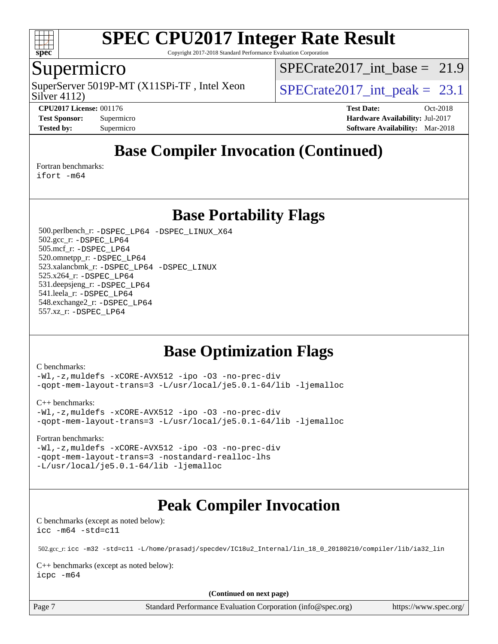

Copyright 2017-2018 Standard Performance Evaluation Corporation

### Supermicro

Silver 4112) SuperServer 5019P-MT (X11SPi-TF, Intel Xeon  $SPIETCrate2017$  int peak = 23.1

SPECrate2017 int\_base =  $21.9$ 

**[CPU2017 License:](http://www.spec.org/auto/cpu2017/Docs/result-fields.html#CPU2017License)** 001176 **[Test Date:](http://www.spec.org/auto/cpu2017/Docs/result-fields.html#TestDate)** Oct-2018 **[Test Sponsor:](http://www.spec.org/auto/cpu2017/Docs/result-fields.html#TestSponsor)** Supermicro **[Hardware Availability:](http://www.spec.org/auto/cpu2017/Docs/result-fields.html#HardwareAvailability)** Jul-2017 **[Tested by:](http://www.spec.org/auto/cpu2017/Docs/result-fields.html#Testedby)** Supermicro **[Software Availability:](http://www.spec.org/auto/cpu2017/Docs/result-fields.html#SoftwareAvailability)** Mar-2018

## **[Base Compiler Invocation \(Continued\)](http://www.spec.org/auto/cpu2017/Docs/result-fields.html#BaseCompilerInvocation)**

[Fortran benchmarks](http://www.spec.org/auto/cpu2017/Docs/result-fields.html#Fortranbenchmarks):

[ifort -m64](http://www.spec.org/cpu2017/results/res2018q4/cpu2017-20181015-09210.flags.html#user_FCbase_intel_ifort_64bit_24f2bb282fbaeffd6157abe4f878425411749daecae9a33200eee2bee2fe76f3b89351d69a8130dd5949958ce389cf37ff59a95e7a40d588e8d3a57e0c3fd751)

**[Base Portability Flags](http://www.spec.org/auto/cpu2017/Docs/result-fields.html#BasePortabilityFlags)**

 500.perlbench\_r: [-DSPEC\\_LP64](http://www.spec.org/cpu2017/results/res2018q4/cpu2017-20181015-09210.flags.html#b500.perlbench_r_basePORTABILITY_DSPEC_LP64) [-DSPEC\\_LINUX\\_X64](http://www.spec.org/cpu2017/results/res2018q4/cpu2017-20181015-09210.flags.html#b500.perlbench_r_baseCPORTABILITY_DSPEC_LINUX_X64) 502.gcc\_r: [-DSPEC\\_LP64](http://www.spec.org/cpu2017/results/res2018q4/cpu2017-20181015-09210.flags.html#suite_basePORTABILITY502_gcc_r_DSPEC_LP64) 505.mcf\_r: [-DSPEC\\_LP64](http://www.spec.org/cpu2017/results/res2018q4/cpu2017-20181015-09210.flags.html#suite_basePORTABILITY505_mcf_r_DSPEC_LP64) 520.omnetpp\_r: [-DSPEC\\_LP64](http://www.spec.org/cpu2017/results/res2018q4/cpu2017-20181015-09210.flags.html#suite_basePORTABILITY520_omnetpp_r_DSPEC_LP64) 523.xalancbmk\_r: [-DSPEC\\_LP64](http://www.spec.org/cpu2017/results/res2018q4/cpu2017-20181015-09210.flags.html#suite_basePORTABILITY523_xalancbmk_r_DSPEC_LP64) [-DSPEC\\_LINUX](http://www.spec.org/cpu2017/results/res2018q4/cpu2017-20181015-09210.flags.html#b523.xalancbmk_r_baseCXXPORTABILITY_DSPEC_LINUX) 525.x264\_r: [-DSPEC\\_LP64](http://www.spec.org/cpu2017/results/res2018q4/cpu2017-20181015-09210.flags.html#suite_basePORTABILITY525_x264_r_DSPEC_LP64) 531.deepsjeng\_r: [-DSPEC\\_LP64](http://www.spec.org/cpu2017/results/res2018q4/cpu2017-20181015-09210.flags.html#suite_basePORTABILITY531_deepsjeng_r_DSPEC_LP64) 541.leela\_r: [-DSPEC\\_LP64](http://www.spec.org/cpu2017/results/res2018q4/cpu2017-20181015-09210.flags.html#suite_basePORTABILITY541_leela_r_DSPEC_LP64) 548.exchange2\_r: [-DSPEC\\_LP64](http://www.spec.org/cpu2017/results/res2018q4/cpu2017-20181015-09210.flags.html#suite_basePORTABILITY548_exchange2_r_DSPEC_LP64) 557.xz\_r: [-DSPEC\\_LP64](http://www.spec.org/cpu2017/results/res2018q4/cpu2017-20181015-09210.flags.html#suite_basePORTABILITY557_xz_r_DSPEC_LP64)

## **[Base Optimization Flags](http://www.spec.org/auto/cpu2017/Docs/result-fields.html#BaseOptimizationFlags)**

[C benchmarks](http://www.spec.org/auto/cpu2017/Docs/result-fields.html#Cbenchmarks):

[-Wl,-z,muldefs](http://www.spec.org/cpu2017/results/res2018q4/cpu2017-20181015-09210.flags.html#user_CCbase_link_force_multiple1_b4cbdb97b34bdee9ceefcfe54f4c8ea74255f0b02a4b23e853cdb0e18eb4525ac79b5a88067c842dd0ee6996c24547a27a4b99331201badda8798ef8a743f577) [-xCORE-AVX512](http://www.spec.org/cpu2017/results/res2018q4/cpu2017-20181015-09210.flags.html#user_CCbase_f-xCORE-AVX512) [-ipo](http://www.spec.org/cpu2017/results/res2018q4/cpu2017-20181015-09210.flags.html#user_CCbase_f-ipo) [-O3](http://www.spec.org/cpu2017/results/res2018q4/cpu2017-20181015-09210.flags.html#user_CCbase_f-O3) [-no-prec-div](http://www.spec.org/cpu2017/results/res2018q4/cpu2017-20181015-09210.flags.html#user_CCbase_f-no-prec-div) [-qopt-mem-layout-trans=3](http://www.spec.org/cpu2017/results/res2018q4/cpu2017-20181015-09210.flags.html#user_CCbase_f-qopt-mem-layout-trans_de80db37974c74b1f0e20d883f0b675c88c3b01e9d123adea9b28688d64333345fb62bc4a798493513fdb68f60282f9a726aa07f478b2f7113531aecce732043) [-L/usr/local/je5.0.1-64/lib](http://www.spec.org/cpu2017/results/res2018q4/cpu2017-20181015-09210.flags.html#user_CCbase_jemalloc_link_path64_4b10a636b7bce113509b17f3bd0d6226c5fb2346b9178c2d0232c14f04ab830f976640479e5c33dc2bcbbdad86ecfb6634cbbd4418746f06f368b512fced5394) [-ljemalloc](http://www.spec.org/cpu2017/results/res2018q4/cpu2017-20181015-09210.flags.html#user_CCbase_jemalloc_link_lib_d1249b907c500fa1c0672f44f562e3d0f79738ae9e3c4a9c376d49f265a04b9c99b167ecedbf6711b3085be911c67ff61f150a17b3472be731631ba4d0471706)

[C++ benchmarks:](http://www.spec.org/auto/cpu2017/Docs/result-fields.html#CXXbenchmarks)

[-Wl,-z,muldefs](http://www.spec.org/cpu2017/results/res2018q4/cpu2017-20181015-09210.flags.html#user_CXXbase_link_force_multiple1_b4cbdb97b34bdee9ceefcfe54f4c8ea74255f0b02a4b23e853cdb0e18eb4525ac79b5a88067c842dd0ee6996c24547a27a4b99331201badda8798ef8a743f577) [-xCORE-AVX512](http://www.spec.org/cpu2017/results/res2018q4/cpu2017-20181015-09210.flags.html#user_CXXbase_f-xCORE-AVX512) [-ipo](http://www.spec.org/cpu2017/results/res2018q4/cpu2017-20181015-09210.flags.html#user_CXXbase_f-ipo) [-O3](http://www.spec.org/cpu2017/results/res2018q4/cpu2017-20181015-09210.flags.html#user_CXXbase_f-O3) [-no-prec-div](http://www.spec.org/cpu2017/results/res2018q4/cpu2017-20181015-09210.flags.html#user_CXXbase_f-no-prec-div) [-qopt-mem-layout-trans=3](http://www.spec.org/cpu2017/results/res2018q4/cpu2017-20181015-09210.flags.html#user_CXXbase_f-qopt-mem-layout-trans_de80db37974c74b1f0e20d883f0b675c88c3b01e9d123adea9b28688d64333345fb62bc4a798493513fdb68f60282f9a726aa07f478b2f7113531aecce732043) [-L/usr/local/je5.0.1-64/lib](http://www.spec.org/cpu2017/results/res2018q4/cpu2017-20181015-09210.flags.html#user_CXXbase_jemalloc_link_path64_4b10a636b7bce113509b17f3bd0d6226c5fb2346b9178c2d0232c14f04ab830f976640479e5c33dc2bcbbdad86ecfb6634cbbd4418746f06f368b512fced5394) [-ljemalloc](http://www.spec.org/cpu2017/results/res2018q4/cpu2017-20181015-09210.flags.html#user_CXXbase_jemalloc_link_lib_d1249b907c500fa1c0672f44f562e3d0f79738ae9e3c4a9c376d49f265a04b9c99b167ecedbf6711b3085be911c67ff61f150a17b3472be731631ba4d0471706)

[Fortran benchmarks](http://www.spec.org/auto/cpu2017/Docs/result-fields.html#Fortranbenchmarks):

[-Wl,-z,muldefs](http://www.spec.org/cpu2017/results/res2018q4/cpu2017-20181015-09210.flags.html#user_FCbase_link_force_multiple1_b4cbdb97b34bdee9ceefcfe54f4c8ea74255f0b02a4b23e853cdb0e18eb4525ac79b5a88067c842dd0ee6996c24547a27a4b99331201badda8798ef8a743f577) [-xCORE-AVX512](http://www.spec.org/cpu2017/results/res2018q4/cpu2017-20181015-09210.flags.html#user_FCbase_f-xCORE-AVX512) [-ipo](http://www.spec.org/cpu2017/results/res2018q4/cpu2017-20181015-09210.flags.html#user_FCbase_f-ipo) [-O3](http://www.spec.org/cpu2017/results/res2018q4/cpu2017-20181015-09210.flags.html#user_FCbase_f-O3) [-no-prec-div](http://www.spec.org/cpu2017/results/res2018q4/cpu2017-20181015-09210.flags.html#user_FCbase_f-no-prec-div) [-qopt-mem-layout-trans=3](http://www.spec.org/cpu2017/results/res2018q4/cpu2017-20181015-09210.flags.html#user_FCbase_f-qopt-mem-layout-trans_de80db37974c74b1f0e20d883f0b675c88c3b01e9d123adea9b28688d64333345fb62bc4a798493513fdb68f60282f9a726aa07f478b2f7113531aecce732043) [-nostandard-realloc-lhs](http://www.spec.org/cpu2017/results/res2018q4/cpu2017-20181015-09210.flags.html#user_FCbase_f_2003_std_realloc_82b4557e90729c0f113870c07e44d33d6f5a304b4f63d4c15d2d0f1fab99f5daaed73bdb9275d9ae411527f28b936061aa8b9c8f2d63842963b95c9dd6426b8a) [-L/usr/local/je5.0.1-64/lib](http://www.spec.org/cpu2017/results/res2018q4/cpu2017-20181015-09210.flags.html#user_FCbase_jemalloc_link_path64_4b10a636b7bce113509b17f3bd0d6226c5fb2346b9178c2d0232c14f04ab830f976640479e5c33dc2bcbbdad86ecfb6634cbbd4418746f06f368b512fced5394) [-ljemalloc](http://www.spec.org/cpu2017/results/res2018q4/cpu2017-20181015-09210.flags.html#user_FCbase_jemalloc_link_lib_d1249b907c500fa1c0672f44f562e3d0f79738ae9e3c4a9c376d49f265a04b9c99b167ecedbf6711b3085be911c67ff61f150a17b3472be731631ba4d0471706)

# **[Peak Compiler Invocation](http://www.spec.org/auto/cpu2017/Docs/result-fields.html#PeakCompilerInvocation)**

[C benchmarks \(except as noted below\)](http://www.spec.org/auto/cpu2017/Docs/result-fields.html#Cbenchmarksexceptasnotedbelow): [icc -m64 -std=c11](http://www.spec.org/cpu2017/results/res2018q4/cpu2017-20181015-09210.flags.html#user_CCpeak_intel_icc_64bit_c11_33ee0cdaae7deeeab2a9725423ba97205ce30f63b9926c2519791662299b76a0318f32ddfffdc46587804de3178b4f9328c46fa7c2b0cd779d7a61945c91cd35)

502.gcc\_r: [icc -m32 -std=c11 -L/home/prasadj/specdev/IC18u2\\_Internal/lin\\_18\\_0\\_20180210/compiler/lib/ia32\\_lin](http://www.spec.org/cpu2017/results/res2018q4/cpu2017-20181015-09210.flags.html#user_peakCCLD502_gcc_r_intel_icc_a481ac844e7127046fad14d498c730a1848fa901fbbb2c3dfdd5e9fbbac777c8009953946d55d8b6afe8ed0da70dd2b4f8dedbdf7ab1ee211ba70d24a5d89f85)

[C++ benchmarks \(except as noted below\):](http://www.spec.org/auto/cpu2017/Docs/result-fields.html#CXXbenchmarksexceptasnotedbelow) [icpc -m64](http://www.spec.org/cpu2017/results/res2018q4/cpu2017-20181015-09210.flags.html#user_CXXpeak_intel_icpc_64bit_4ecb2543ae3f1412ef961e0650ca070fec7b7afdcd6ed48761b84423119d1bf6bdf5cad15b44d48e7256388bc77273b966e5eb805aefd121eb22e9299b2ec9d9)

**(Continued on next page)**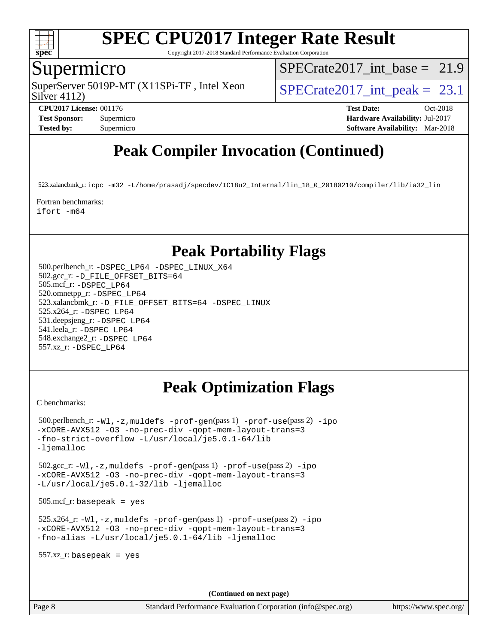

Copyright 2017-2018 Standard Performance Evaluation Corporation

### Supermicro

Silver 4112) SuperServer 5019P-MT (X11SPi-TF, Intel Xeon  $SPIETCrate2017$  int peak = 23.1

SPECrate2017 int\_base =  $21.9$ 

**[CPU2017 License:](http://www.spec.org/auto/cpu2017/Docs/result-fields.html#CPU2017License)** 001176 **[Test Date:](http://www.spec.org/auto/cpu2017/Docs/result-fields.html#TestDate)** Oct-2018 **[Test Sponsor:](http://www.spec.org/auto/cpu2017/Docs/result-fields.html#TestSponsor)** Supermicro **[Hardware Availability:](http://www.spec.org/auto/cpu2017/Docs/result-fields.html#HardwareAvailability)** Jul-2017 **[Tested by:](http://www.spec.org/auto/cpu2017/Docs/result-fields.html#Testedby)** Supermicro **[Software Availability:](http://www.spec.org/auto/cpu2017/Docs/result-fields.html#SoftwareAvailability)** Mar-2018

# **[Peak Compiler Invocation \(Continued\)](http://www.spec.org/auto/cpu2017/Docs/result-fields.html#PeakCompilerInvocation)**

523.xalancbmk\_r: [icpc -m32 -L/home/prasadj/specdev/IC18u2\\_Internal/lin\\_18\\_0\\_20180210/compiler/lib/ia32\\_lin](http://www.spec.org/cpu2017/results/res2018q4/cpu2017-20181015-09210.flags.html#user_peakCXXLD523_xalancbmk_r_intel_icpc_c6d030cd79af6ea7d6fb64c57e8fe7ae8fe0b96fc5a3b3f4a10e3273b3d7fa9decd8263f6330cef23f751cb093a69fae84a2bf4c243500a8eed069248128076f)

[Fortran benchmarks](http://www.spec.org/auto/cpu2017/Docs/result-fields.html#Fortranbenchmarks): [ifort -m64](http://www.spec.org/cpu2017/results/res2018q4/cpu2017-20181015-09210.flags.html#user_FCpeak_intel_ifort_64bit_24f2bb282fbaeffd6157abe4f878425411749daecae9a33200eee2bee2fe76f3b89351d69a8130dd5949958ce389cf37ff59a95e7a40d588e8d3a57e0c3fd751)

## **[Peak Portability Flags](http://www.spec.org/auto/cpu2017/Docs/result-fields.html#PeakPortabilityFlags)**

 500.perlbench\_r: [-DSPEC\\_LP64](http://www.spec.org/cpu2017/results/res2018q4/cpu2017-20181015-09210.flags.html#b500.perlbench_r_peakPORTABILITY_DSPEC_LP64) [-DSPEC\\_LINUX\\_X64](http://www.spec.org/cpu2017/results/res2018q4/cpu2017-20181015-09210.flags.html#b500.perlbench_r_peakCPORTABILITY_DSPEC_LINUX_X64) 502.gcc\_r: [-D\\_FILE\\_OFFSET\\_BITS=64](http://www.spec.org/cpu2017/results/res2018q4/cpu2017-20181015-09210.flags.html#user_peakPORTABILITY502_gcc_r_file_offset_bits_64_5ae949a99b284ddf4e95728d47cb0843d81b2eb0e18bdfe74bbf0f61d0b064f4bda2f10ea5eb90e1dcab0e84dbc592acfc5018bc955c18609f94ddb8d550002c) 505.mcf\_r: [-DSPEC\\_LP64](http://www.spec.org/cpu2017/results/res2018q4/cpu2017-20181015-09210.flags.html#suite_peakPORTABILITY505_mcf_r_DSPEC_LP64) 520.omnetpp\_r: [-DSPEC\\_LP64](http://www.spec.org/cpu2017/results/res2018q4/cpu2017-20181015-09210.flags.html#suite_peakPORTABILITY520_omnetpp_r_DSPEC_LP64) 523.xalancbmk\_r: [-D\\_FILE\\_OFFSET\\_BITS=64](http://www.spec.org/cpu2017/results/res2018q4/cpu2017-20181015-09210.flags.html#user_peakPORTABILITY523_xalancbmk_r_file_offset_bits_64_5ae949a99b284ddf4e95728d47cb0843d81b2eb0e18bdfe74bbf0f61d0b064f4bda2f10ea5eb90e1dcab0e84dbc592acfc5018bc955c18609f94ddb8d550002c) [-DSPEC\\_LINUX](http://www.spec.org/cpu2017/results/res2018q4/cpu2017-20181015-09210.flags.html#b523.xalancbmk_r_peakCXXPORTABILITY_DSPEC_LINUX) 525.x264\_r: [-DSPEC\\_LP64](http://www.spec.org/cpu2017/results/res2018q4/cpu2017-20181015-09210.flags.html#suite_peakPORTABILITY525_x264_r_DSPEC_LP64) 531.deepsjeng\_r: [-DSPEC\\_LP64](http://www.spec.org/cpu2017/results/res2018q4/cpu2017-20181015-09210.flags.html#suite_peakPORTABILITY531_deepsjeng_r_DSPEC_LP64) 541.leela\_r: [-DSPEC\\_LP64](http://www.spec.org/cpu2017/results/res2018q4/cpu2017-20181015-09210.flags.html#suite_peakPORTABILITY541_leela_r_DSPEC_LP64) 548.exchange2\_r: [-DSPEC\\_LP64](http://www.spec.org/cpu2017/results/res2018q4/cpu2017-20181015-09210.flags.html#suite_peakPORTABILITY548_exchange2_r_DSPEC_LP64) 557.xz\_r: [-DSPEC\\_LP64](http://www.spec.org/cpu2017/results/res2018q4/cpu2017-20181015-09210.flags.html#suite_peakPORTABILITY557_xz_r_DSPEC_LP64)

## **[Peak Optimization Flags](http://www.spec.org/auto/cpu2017/Docs/result-fields.html#PeakOptimizationFlags)**

[C benchmarks](http://www.spec.org/auto/cpu2017/Docs/result-fields.html#Cbenchmarks):

```
 500.perlbench_r: -Wl,-z,muldefs -prof-gen(pass 1) -prof-use(pass 2) -ipo
-xCORE-AVX512 -O3 -no-prec-div -qopt-mem-layout-trans=3
-fno-strict-overflow -L/usr/local/je5.0.1-64/lib
-ljemalloc
 502.gcc_r: -Wl,-z,muldefs -prof-gen(pass 1) -prof-use(pass 2) -ipo
-xCORE-AVX512 -O3 -no-prec-div -qopt-mem-layout-trans=3
-L/usr/local/je5.0.1-32/lib -ljemalloc
 505.mcf_r: basepeak = yes
 525.x264_r: -Wl,-z,muldefs -prof-gen(pass 1) -prof-use(pass 2) -ipo
-xCORE-AVX512 -O3 -no-prec-div -qopt-mem-layout-trans=3
-fno-alias -L/usr/local/je5.0.1-64/lib -ljemalloc
 557.xz_r: basepeak = yes
```
**(Continued on next page)**